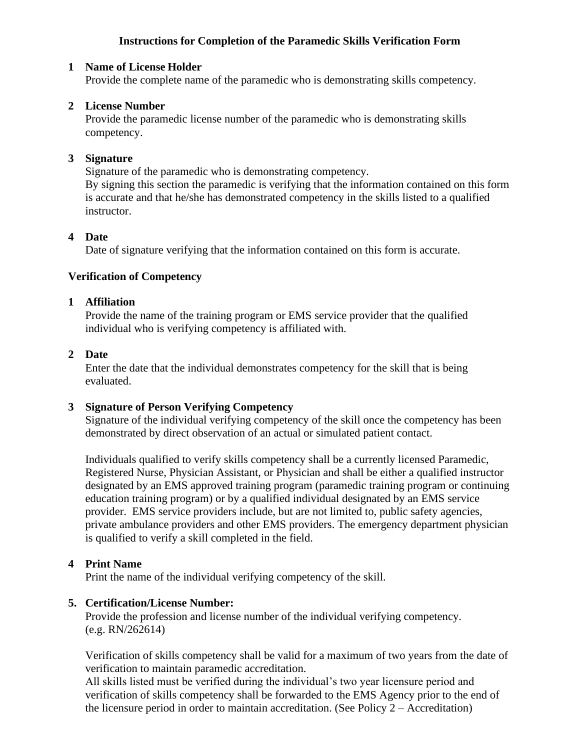## **Instructions for Completion of the Paramedic Skills Verification Form**

### **1 Name of License Holder**

Provide the complete name of the paramedic who is demonstrating skills competency.

### **2 License Number**

Provide the paramedic license number of the paramedic who is demonstrating skills competency.

### **3 Signature**

Signature of the paramedic who is demonstrating competency. By signing this section the paramedic is verifying that the information contained on this form is accurate and that he/she has demonstrated competency in the skills listed to a qualified instructor.

#### **4 Date**

Date of signature verifying that the information contained on this form is accurate.

## **Verification of Competency**

#### **1 Affiliation**

Provide the name of the training program or EMS service provider that the qualified individual who is verifying competency is affiliated with.

#### **2 Date**

Enter the date that the individual demonstrates competency for the skill that is being evaluated.

## **3 Signature of Person Verifying Competency**

Signature of the individual verifying competency of the skill once the competency has been demonstrated by direct observation of an actual or simulated patient contact.

Individuals qualified to verify skills competency shall be a currently licensed Paramedic, Registered Nurse, Physician Assistant, or Physician and shall be either a qualified instructor designated by an EMS approved training program (paramedic training program or continuing education training program) or by a qualified individual designated by an EMS service provider. EMS service providers include, but are not limited to, public safety agencies, private ambulance providers and other EMS providers. The emergency department physician is qualified to verify a skill completed in the field.

#### **4 Print Name**

Print the name of the individual verifying competency of the skill.

#### **5. Certification/License Number:**

Provide the profession and license number of the individual verifying competency. (e.g. RN/262614)

Verification of skills competency shall be valid for a maximum of two years from the date of verification to maintain paramedic accreditation.

All skills listed must be verified during the individual's two year licensure period and verification of skills competency shall be forwarded to the EMS Agency prior to the end of the licensure period in order to maintain accreditation. (See Policy 2 – Accreditation)